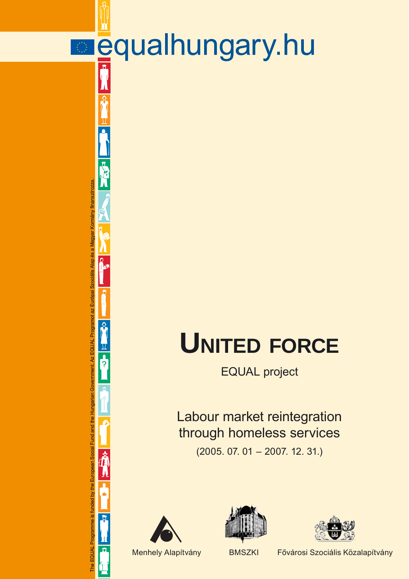# **UNITED FORCE**

EQUAL project

Labour market reintegration through homeless services

(2005. 07. 01 – 2007. 12. 31.)



The EQUAL Programme is funded by the European Social Fund and the Hungarian Government. Az EQUAL Programot az Európai Szociális Alap és a Magyar Kormány finanszírozza.

The EQUAL Programme is funded by the European Social Fund and the Hungarian Government. Az EQUAL Programot az Európai Szociális Alap és a Magyar Kormány finanszírozza.

 $\frac{1}{\pi}$ 

**HEA** 

**Particle** 

 $\overline{\hat{N}}$ 

 $\overline{\mathbf{R}}$ 





**E**qualhungary.hu

Menhely Alapítvány BMSZKI Fővárosi Szociális Közalapítvány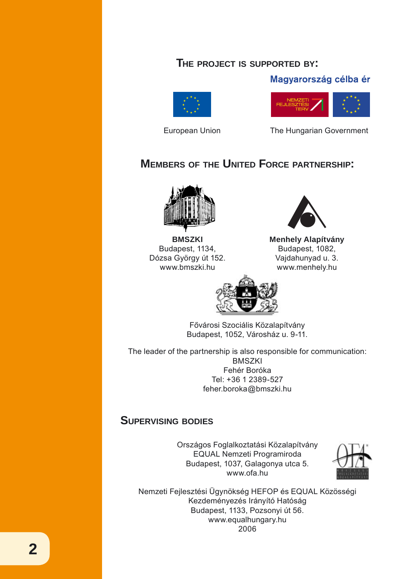### **THE PROJECT IS SUPPORTED BY:**

#### Magyarország célba ér





European Union The Hungarian Government

# **MEMBERS OF THE UNITED FORCE PARTNERSHIP:**



**BMSZKI**  Budapest, 1134, Dózsa György út 152. www.bmszki.hu



**Menhely Alapítvány** Budapest, 1082, Vajdahunyad u. 3. www.menhely.hu



Fővárosi Szociális Közalapítvány Budapest, 1052, Városház u. 9-11.

The leader of the partnership is also responsible for communication: **BMSZKI** Fehér Boróka Tel: +36 1 2389-527 feher.boroka@bmszki.hu

## **SUPERVISING BODIES**

Országos Foglalkoztatási Közalapítvány EQUAL Nemzeti Programiroda Budapest, 1037, Galagonya utca 5. www.ofa.hu



Nemzeti Fejlesztési Ügynökség HEFOP és EQUAL Közösségi Kezdeményezés Irányító Hatóság Budapest, 1133, Pozsonyi út 56. www.equalhungary.hu 2006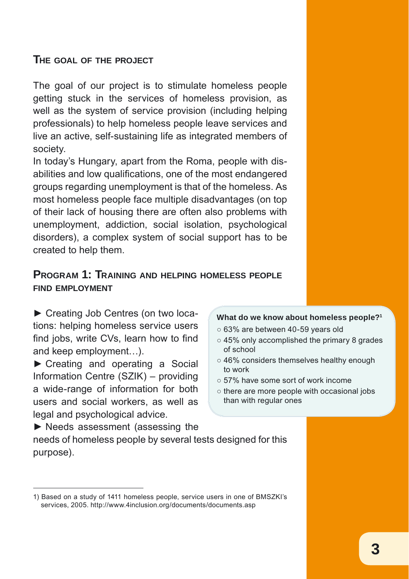## **THE GOAL OF THE PROJECT**

The goal of our project is to stimulate homeless people getting stuck in the services of homeless provision, as well as the system of service provision (including helping professionals) to help homeless people leave services and live an active, self-sustaining life as integrated members of society.

In today's Hungary, apart from the Roma, people with disabilities and low qualifications, one of the most endangered groups regarding unemployment is that of the homeless. As most homeless people face multiple disadvantages (on top of their lack of housing there are often also problems with unemployment, addiction, social isolation, psychological disorders), a complex system of social support has to be created to help them.

## **PROGRAM 1: TRAINING AND HELPING HOMELESS PEOPLE FIND EMPLOYMENT**

► Creating Job Centres (on two locations: helping homeless service users find jobs, write CVs, learn how to find and keep employment…).

► Creating and operating a Social Information Centre (SZIK) – providing a wide-range of information for both users and social workers, as well as legal and psychological advice.

#### **What do we know about homeless people?1**

- 63% are between 40-59 years old
- 45% only accomplished the primary 8 grades of school
- 46% considers themselves healthy enough to work
- 57% have some sort of work income
- there are more people with occasional jobs than with regular ones

► Needs assessment (assessing the needs of homeless people by several tests designed for this purpose).

<sup>1)</sup> Based on a study of 1411 homeless people, service users in one of BMSZKI's services, 2005. http://www.4inclusion.org/documents/documents.asp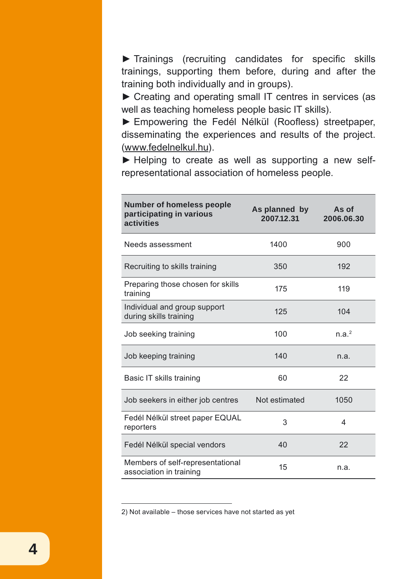► Trainings (recruiting candidates for specific skills trainings, supporting them before, during and after the training both individually and in groups).

► Creating and operating small IT centres in services (as well as teaching homeless people basic IT skills).

► Empowering the Fedél Nélkül (Roofless) streetpaper, disseminating the experiences and results of the project. (www.fedelnelkul.hu).

► Helping to create as well as supporting a new selfrepresentational association of homeless people.

| <b>Number of homeless people</b><br>participating in various<br>activities | As planned by<br>2007.12.31 | As of<br>2006.06.30 |
|----------------------------------------------------------------------------|-----------------------------|---------------------|
| Needs assessment                                                           | 1400                        | 900                 |
| Recruiting to skills training                                              | 350                         | 192                 |
| Preparing those chosen for skills<br>training                              | 175                         | 119                 |
| Individual and group support<br>during skills training                     | 125                         | 104                 |
| Job seeking training                                                       | 100                         | n.a. <sup>2</sup>   |
| Job keeping training                                                       | 140                         | n.a.                |
| Basic IT skills training                                                   | 60                          | 22                  |
| Job seekers in either job centres                                          | Not estimated               | 1050                |
| Fedél Nélkül street paper EQUAL<br>reporters                               | 3                           | 4                   |
| Fedél Nélkül special vendors                                               | 40                          | 22                  |
| Members of self-representational<br>association in training                | 15                          | n.a.                |

2) Not available – those services have not started as yet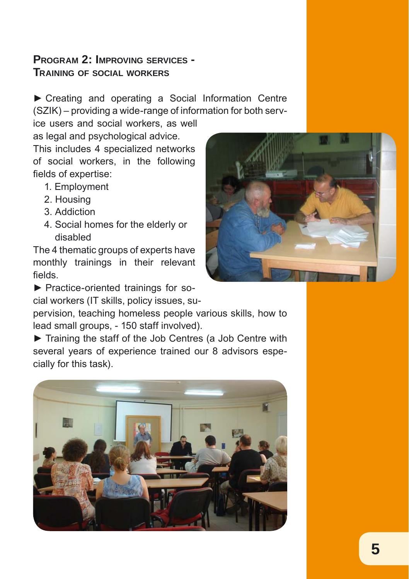# **PROGRAM 2: IMPROVING SERVICES - TRAINING OF SOCIAL WORKERS**

► Creating and operating a Social Information Centre (SZIK) – providing a wide-range of information for both serv-

ice users and social workers, as well as legal and psychological advice.

This includes 4 specialized networks of social workers, in the following fields of expertise:

- 1. Employment
- 2. Housing
- 3. Addiction
- 4. Social homes for the elderly or disabled

The 4 thematic groups of experts have monthly trainings in their relevant fields.

► Practice-oriented trainings for so-

cial workers (IT skills, policy issues, su-

pervision, teaching homeless people various skills, how to lead small groups, - 150 staff involved).

► Training the staff of the Job Centres (a Job Centre with several years of experience trained our 8 advisors especially for this task).



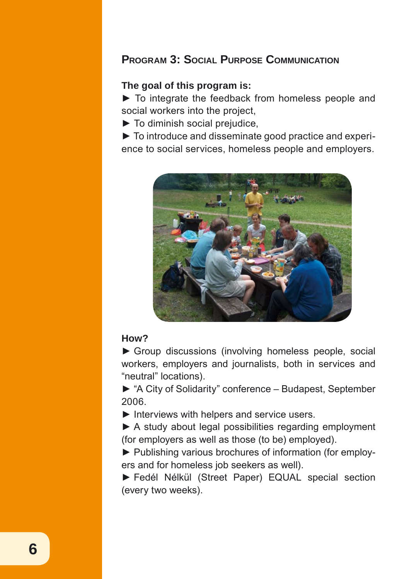## **PROGRAM 3: SOCIAL PURPOSE COMMUNICATION**

#### **The goal of this program is:**

► To integrate the feedback from homeless people and social workers into the project,

► To diminish social prejudice,

► To introduce and disseminate good practice and experience to social services, homeless people and employers.



#### **How?**

► Group discussions (involving homeless people, social workers, employers and journalists, both in services and "neutral" locations).

► "A City of Solidarity" conference – Budapest, September 2006.

 $\blacktriangleright$  Interviews with helpers and service users.

▶ A study about legal possibilities regarding employment (for employers as well as those (to be) employed).

► Publishing various brochures of information (for employers and for homeless job seekers as well).

► Fedél Nélkül (Street Paper) EQUAL special section (every two weeks).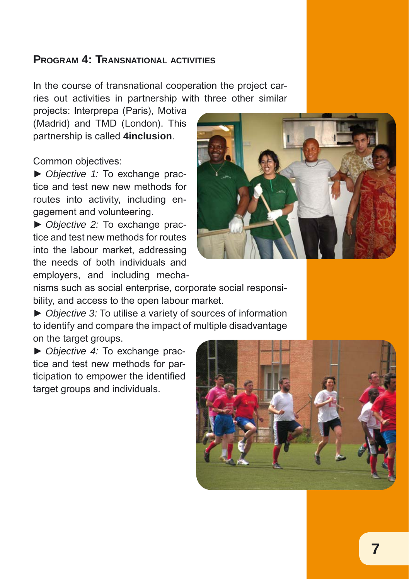## **PROGRAM 4: TRANSNATIONAL ACTIVITIES**

In the course of transnational cooperation the project carries out activities in partnership with three other similar

projects: Interprepa (Paris), Motiva (Madrid) and TMD (London). This partnership is called **4inclusion**.

Common objectives:

► *Objective 1:* To exchange practice and test new new methods for routes into activity, including engagement and volunteering.

► *Objective 2:* To exchange practice and test new methods for routes into the labour market, addressing the needs of both individuals and employers, and including mecha-



nisms such as social enterprise, corporate social responsibility, and access to the open labour market.

► *Objective 3:* To utilise a variety of sources of information to identify and compare the impact of multiple disadvantage on the target groups.

► *Objective 4:* To exchange practice and test new methods for participation to empower the identified target groups and individuals.